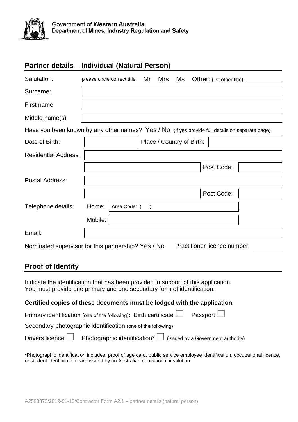

## **Partner details – Individual (Natural Person)**

| Salutation:                                                                                     | please circle correct title Mr Mrs |  |  |  | Ms Other: (list other title) |  |
|-------------------------------------------------------------------------------------------------|------------------------------------|--|--|--|------------------------------|--|
| Surname:                                                                                        |                                    |  |  |  |                              |  |
| First name                                                                                      |                                    |  |  |  |                              |  |
| Middle name(s)                                                                                  |                                    |  |  |  |                              |  |
| Have you been known by any other names? Yes / No (if yes provide full details on separate page) |                                    |  |  |  |                              |  |
| Date of Birth:                                                                                  | Place / Country of Birth:          |  |  |  |                              |  |
| <b>Residential Address:</b>                                                                     |                                    |  |  |  |                              |  |
|                                                                                                 |                                    |  |  |  | Post Code:                   |  |
| Postal Address:                                                                                 |                                    |  |  |  |                              |  |
|                                                                                                 |                                    |  |  |  | Post Code:                   |  |
| Telephone details:                                                                              | Home:<br>Area Code: (              |  |  |  |                              |  |
|                                                                                                 | Mobile:                            |  |  |  |                              |  |
| Email:                                                                                          |                                    |  |  |  |                              |  |
| Nominated supervisor for this partnership? Yes / No                                             |                                    |  |  |  | Practitioner licence number: |  |

## **Proof of Identity**

Indicate the identification that has been provided in support of this application. You must provide one primary and one secondary form of identification.

## **Certified copies of these documents must be lodged with the application.**

|                                                               | Primary identification (one of the following): Birth certificate $\Box$ Passport $\Box$                   |  |  |  |  |
|---------------------------------------------------------------|-----------------------------------------------------------------------------------------------------------|--|--|--|--|
| Secondary photographic identification (one of the following): |                                                                                                           |  |  |  |  |
|                                                               | Drivers licence $\Box$ Photographic identification <sup>*</sup> $\Box$ (issued by a Government authority) |  |  |  |  |

\*Photographic identification includes: proof of age card, public service employee identification, occupational licence, or student identification card issued by an Australian educational institution.